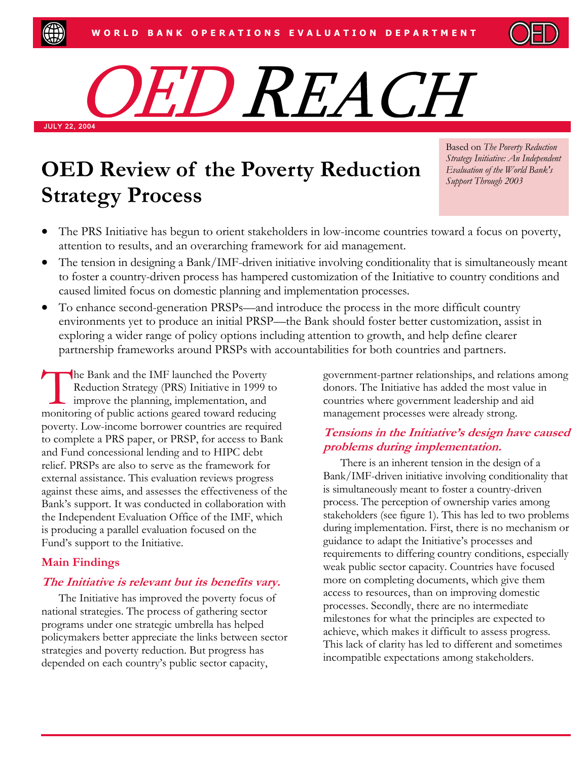

# JULY 22, 2004 OED REACH

# **OED Review of the Poverty Reduction** *Evaluation of the World Bank's* **Strategy Process**

Based on *The Poverty Reduction Strategy Initiative: An Independent Support Through 2003*

- The PRS Initiative has begun to orient stakeholders in low-income countries toward a focus on poverty, attention to results, and an overarching framework for aid management.
- The tension in designing a Bank/IMF-driven initiative involving conditionality that is simultaneously meant to foster a country-driven process has hampered customization of the Initiative to country conditions and caused limited focus on domestic planning and implementation processes.
- To enhance second-generation PRSPs—and introduce the process in the more difficult country environments yet to produce an initial PRSP—the Bank should foster better customization, assist in exploring a wider range of policy options including attention to growth, and help define clearer partnership frameworks around PRSPs with accountabilities for both countries and partners.

The Bank and the IMF launched the Poverty<br>Reduction Strategy (PRS) Initiative in 1999<br>improve the planning, implementation, and<br>monitoring of public actions geared toward reducin Reduction Strategy (PRS) Initiative in 1999 to improve the planning, implementation, and monitoring of public actions geared toward reducing poverty. Low-income borrower countries are required to complete a PRS paper, or PRSP, for access to Bank and Fund concessional lending and to HIPC debt relief. PRSPs are also to serve as the framework for external assistance. This evaluation reviews progress against these aims, and assesses the effectiveness of the Bank's support. It was conducted in collaboration with the Independent Evaluation Office of the IMF, which is producing a parallel evaluation focused on the Fund's support to the Initiative.

## **Main Findings**

### **The Initiative is relevant but its benefits vary.**

The Initiative has improved the poverty focus of national strategies. The process of gathering sector programs under one strategic umbrella has helped policymakers better appreciate the links between sector strategies and poverty reduction. But progress has depended on each country's public sector capacity,

government-partner relationships, and relations among donors. The Initiative has added the most value in countries where government leadership and aid management processes were already strong.

#### **Tensions in the Initiative's design have caused problems during implementation.**

There is an inherent tension in the design of a Bank/IMF-driven initiative involving conditionality that is simultaneously meant to foster a country-driven process. The perception of ownership varies among stakeholders (see figure 1). This has led to two problems during implementation. First, there is no mechanism or guidance to adapt the Initiative's processes and requirements to differing country conditions, especially weak public sector capacity. Countries have focused more on completing documents, which give them access to resources, than on improving domestic processes. Secondly, there are no intermediate milestones for what the principles are expected to achieve, which makes it difficult to assess progress. This lack of clarity has led to different and sometimes incompatible expectations among stakeholders.